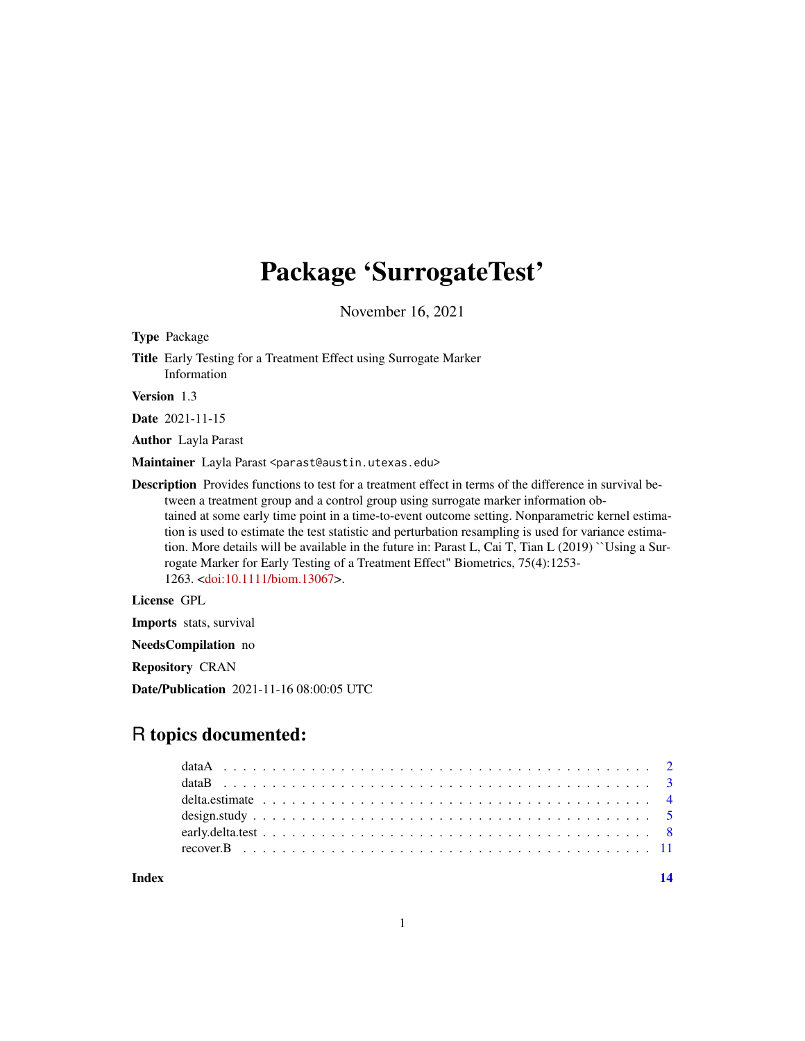# Package 'SurrogateTest'

November 16, 2021

Type Package Title Early Testing for a Treatment Effect using Surrogate Marker Information

Version 1.3

Date 2021-11-15

Author Layla Parast

Maintainer Layla Parast <parast@austin.utexas.edu>

Description Provides functions to test for a treatment effect in terms of the difference in survival between a treatment group and a control group using surrogate marker information obtained at some early time point in a time-to-event outcome setting. Nonparametric kernel estimation is used to estimate the test statistic and perturbation resampling is used for variance estimation. More details will be available in the future in: Parast L, Cai T, Tian L (2019) ``Using a Surrogate Marker for Early Testing of a Treatment Effect" Biometrics, 75(4):1253- 1263. [<doi:10.1111/biom.13067>](https://doi.org/10.1111/biom.13067).

License GPL

Imports stats, survival

NeedsCompilation no

Repository CRAN

Date/Publication 2021-11-16 08:00:05 UTC

# R topics documented:

**Index** 2008 **[14](#page-13-0)**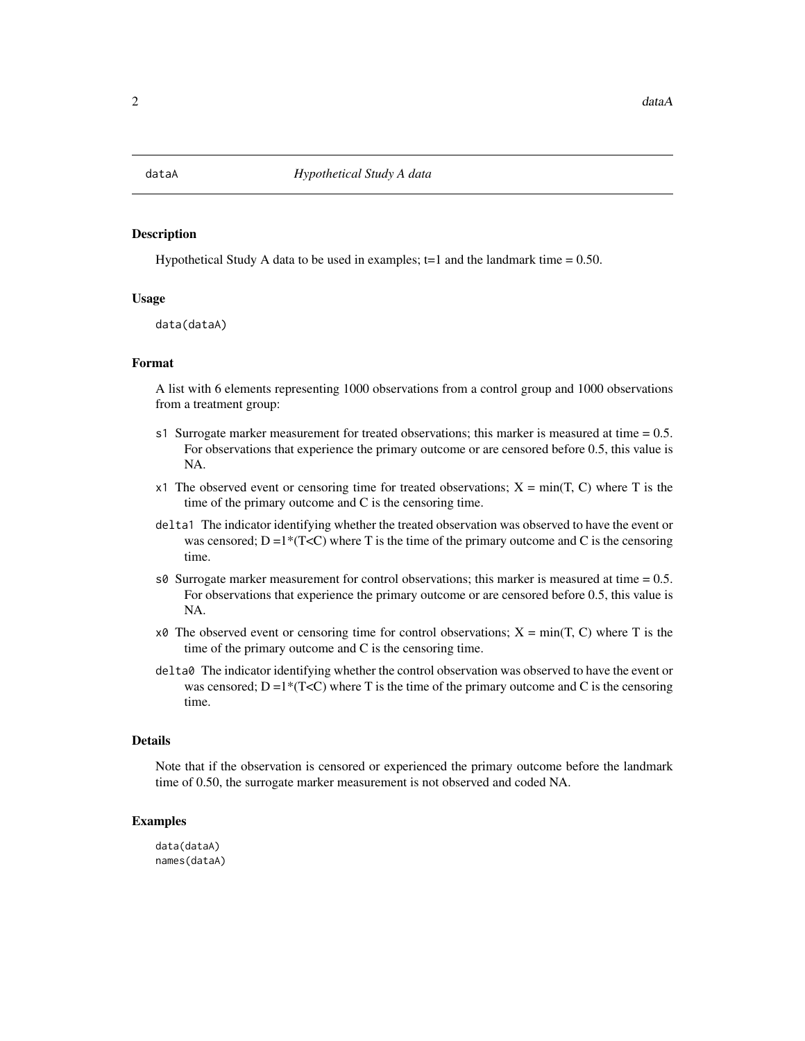<span id="page-1-0"></span>

#### Description

Hypothetical Study A data to be used in examples;  $t=1$  and the landmark time = 0.50.

# Usage

data(dataA)

# Format

A list with 6 elements representing 1000 observations from a control group and 1000 observations from a treatment group:

- s1 Surrogate marker measurement for treated observations; this marker is measured at time = 0.5. For observations that experience the primary outcome or are censored before 0.5, this value is NA.
- x1 The observed event or censoring time for treated observations;  $X = min(T, C)$  where T is the time of the primary outcome and C is the censoring time.
- delta1 The indicator identifying whether the treated observation was observed to have the event or was censored;  $D =1*(T\le C)$  where T is the time of the primary outcome and C is the censoring time.
- s $\theta$  Surrogate marker measurement for control observations; this marker is measured at time = 0.5. For observations that experience the primary outcome or are censored before 0.5, this value is NA.
- $x\theta$  The observed event or censoring time for control observations;  $X = min(T, C)$  where T is the time of the primary outcome and C is the censoring time.
- delta0 The indicator identifying whether the control observation was observed to have the event or was censored;  $D =1*(T\le C)$  where T is the time of the primary outcome and C is the censoring time.

#### Details

Note that if the observation is censored or experienced the primary outcome before the landmark time of 0.50, the surrogate marker measurement is not observed and coded NA.

# Examples

data(dataA) names(dataA)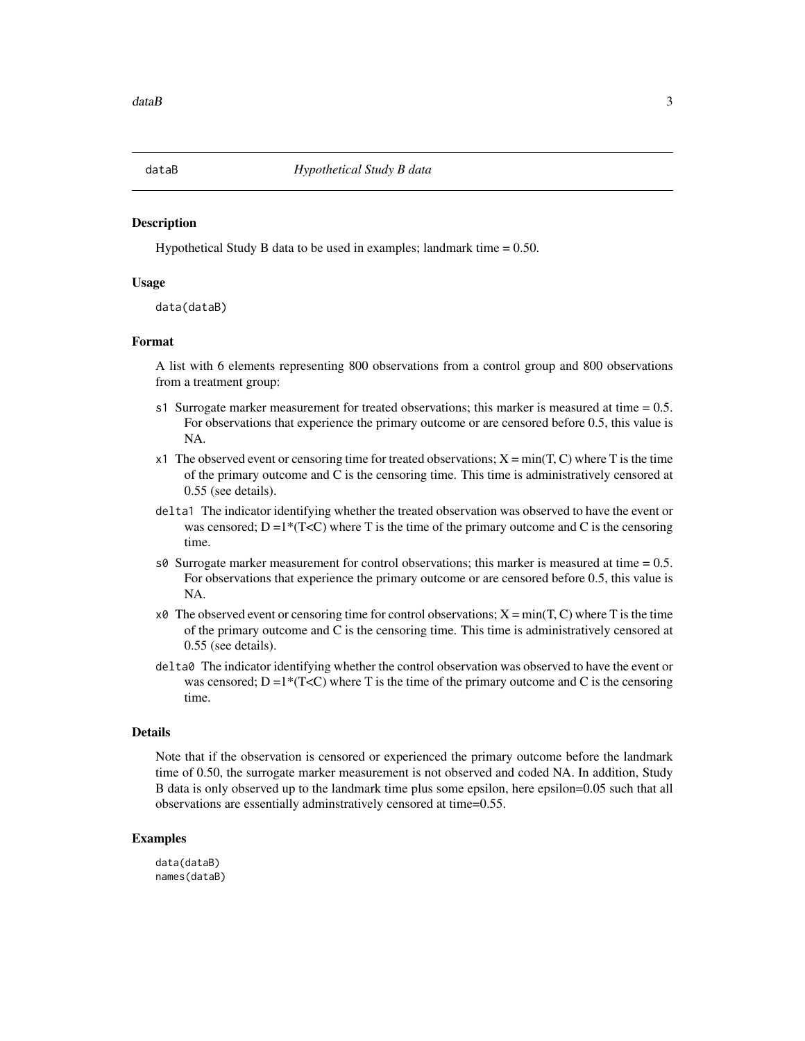<span id="page-2-0"></span>

# **Description**

Hypothetical Study B data to be used in examples; landmark time  $= 0.50$ .

# Usage

data(dataB)

# Format

A list with 6 elements representing 800 observations from a control group and 800 observations from a treatment group:

- s1 Surrogate marker measurement for treated observations; this marker is measured at time  $= 0.5$ . For observations that experience the primary outcome or are censored before 0.5, this value is NA.
- x1 The observed event or censoring time for treated observations;  $X = min(T, C)$  where T is the time of the primary outcome and C is the censoring time. This time is administratively censored at 0.55 (see details).
- delta1 The indicator identifying whether the treated observation was observed to have the event or was censored;  $D =1*(T\le C)$  where T is the time of the primary outcome and C is the censoring time.
- s $\theta$  Surrogate marker measurement for control observations; this marker is measured at time = 0.5. For observations that experience the primary outcome or are censored before 0.5, this value is NA.
- $x\theta$  The observed event or censoring time for control observations;  $X = min(T, C)$  where T is the time of the primary outcome and C is the censoring time. This time is administratively censored at 0.55 (see details).
- delta0 The indicator identifying whether the control observation was observed to have the event or was censored;  $D =1*(T\le C)$  where T is the time of the primary outcome and C is the censoring time.

#### Details

Note that if the observation is censored or experienced the primary outcome before the landmark time of 0.50, the surrogate marker measurement is not observed and coded NA. In addition, Study B data is only observed up to the landmark time plus some epsilon, here epsilon=0.05 such that all observations are essentially adminstratively censored at time=0.55.

# Examples

data(dataB) names(dataB)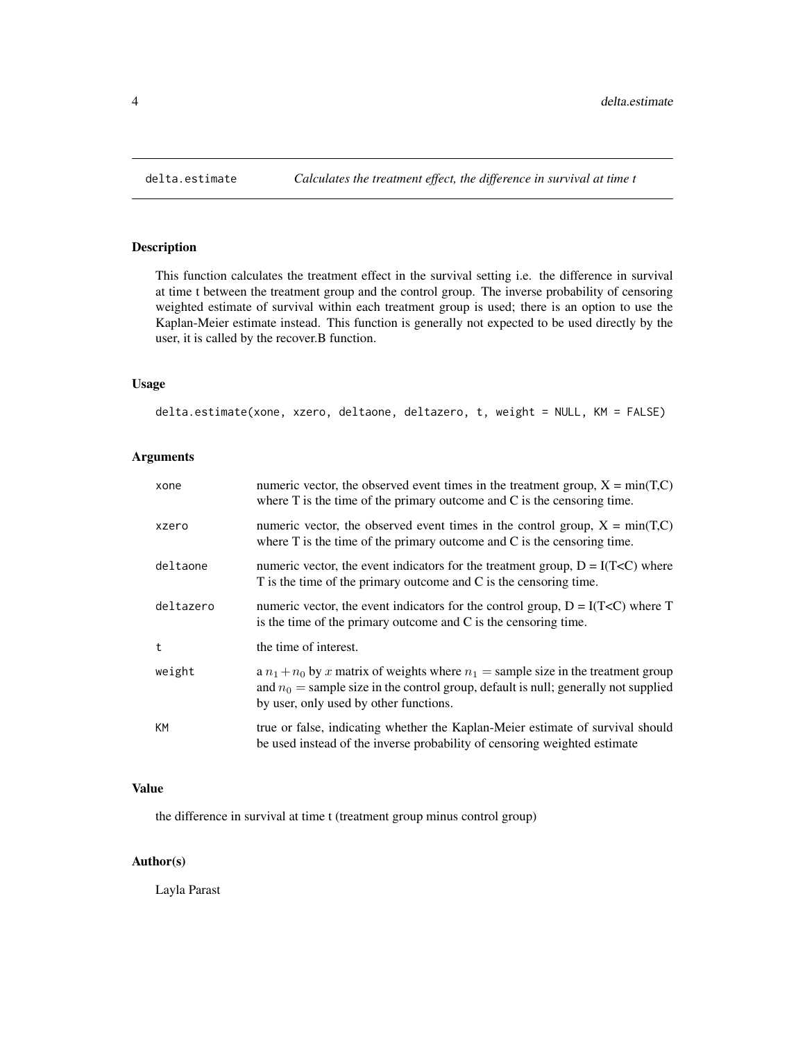# Description

This function calculates the treatment effect in the survival setting i.e. the difference in survival at time t between the treatment group and the control group. The inverse probability of censoring weighted estimate of survival within each treatment group is used; there is an option to use the Kaplan-Meier estimate instead. This function is generally not expected to be used directly by the user, it is called by the recover.B function.

# Usage

delta.estimate(xone, xzero, deltaone, deltazero, t, weight = NULL, KM = FALSE)

# Arguments

| xone      | numeric vector, the observed event times in the treatment group, $X = min(T, C)$<br>where $T$ is the time of the primary outcome and $C$ is the censoring time.                                                          |
|-----------|--------------------------------------------------------------------------------------------------------------------------------------------------------------------------------------------------------------------------|
| xzero     | numeric vector, the observed event times in the control group, $X = min(T,C)$<br>where $T$ is the time of the primary outcome and $C$ is the censoring time.                                                             |
| deltaone  | numeric vector, the event indicators for the treatment group, $D = I(TcC)$ where<br>T is the time of the primary outcome and C is the censoring time.                                                                    |
| deltazero | numeric vector, the event indicators for the control group, $D = I(Tc)$ where T<br>is the time of the primary outcome and $C$ is the censoring time.                                                                     |
| t         | the time of interest.                                                                                                                                                                                                    |
| weight    | a $n_1 + n_0$ by x matrix of weights where $n_1$ = sample size in the treatment group<br>and $n_0$ = sample size in the control group, default is null; generally not supplied<br>by user, only used by other functions. |
| <b>KM</b> | true or false, indicating whether the Kaplan-Meier estimate of survival should<br>be used instead of the inverse probability of censoring weighted estimate                                                              |

# Value

the difference in survival at time t (treatment group minus control group)

# Author(s)

Layla Parast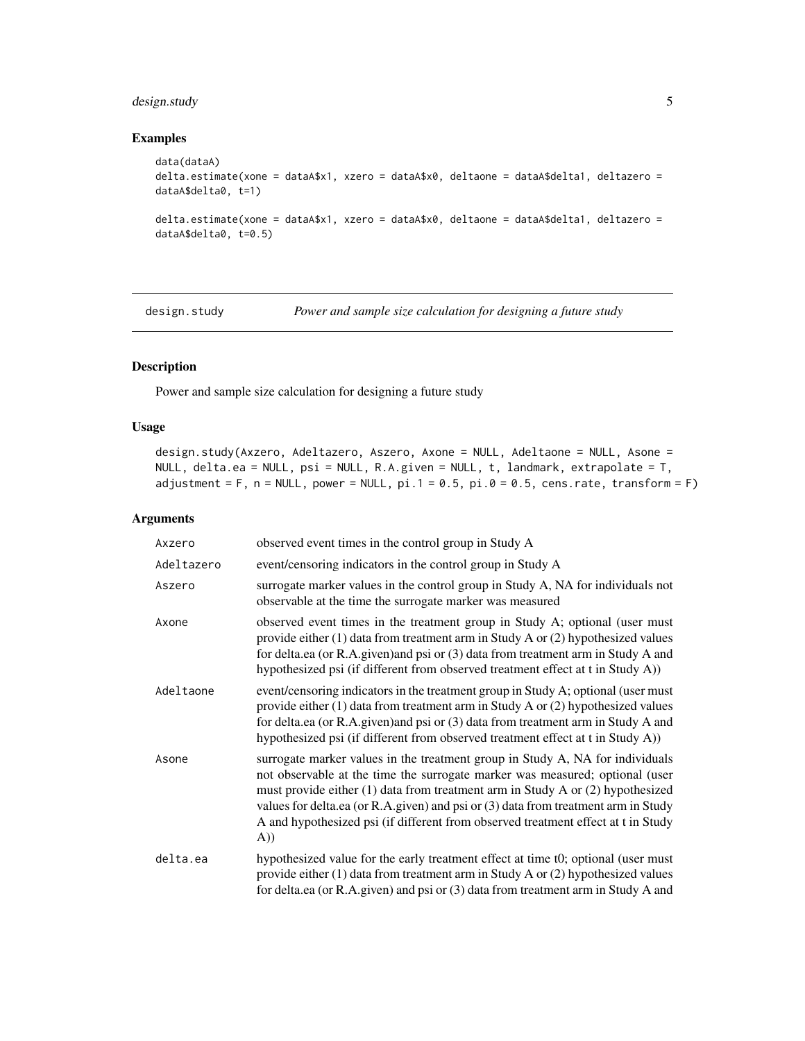# <span id="page-4-0"></span>design.study 5

# Examples

```
data(dataA)
delta.estimate(xone = dataA$x1, xzero = dataA$x0, deltaone = dataA$delta1, deltazero =
dataA$delta0, t=1)
delta.estimate(xone = dataA$x1, xzero = dataA$x0, deltaone = dataA$delta1, deltazero =
dataA$delta0, t=0.5)
```
design.study *Power and sample size calculation for designing a future study*

# Description

Power and sample size calculation for designing a future study

# Usage

```
design.study(Axzero, Adeltazero, Aszero, Axone = NULL, Adeltaone = NULL, Asone =
NULL, delta.ea = NULL, psi = NULL, R.A.given = NULL, t, landmark, extrapolate = T,
adjustment = F, n = NULL, power = NULL, pi.1 = 0.5, pi.0 = 0.5, cens.rate, transform = F)
```
#### Arguments

| Axzero     | observed event times in the control group in Study A                                                                                                                                                                                                                                                                                                                                                                              |
|------------|-----------------------------------------------------------------------------------------------------------------------------------------------------------------------------------------------------------------------------------------------------------------------------------------------------------------------------------------------------------------------------------------------------------------------------------|
| Adeltazero | event/censoring indicators in the control group in Study A                                                                                                                                                                                                                                                                                                                                                                        |
| Aszero     | surrogate marker values in the control group in Study A, NA for individuals not<br>observable at the time the surrogate marker was measured                                                                                                                                                                                                                                                                                       |
| Axone      | observed event times in the treatment group in Study A; optional (user must<br>provide either (1) data from treatment arm in Study A or (2) hypothesized values<br>for delta.ea (or R.A.given)and psi or (3) data from treatment arm in Study A and<br>hypothesized psi (if different from observed treatment effect at t in Study A))                                                                                            |
| Adeltaone  | event/censoring indicators in the treatment group in Study A; optional (user must<br>provide either $(1)$ data from treatment arm in Study A or $(2)$ hypothesized values<br>for delta.ea (or R.A.given) and psi or (3) data from treatment arm in Study A and<br>hypothesized psi (if different from observed treatment effect at t in Study A))                                                                                 |
| Asone      | surrogate marker values in the treatment group in Study A, NA for individuals<br>not observable at the time the surrogate marker was measured; optional (user<br>must provide either (1) data from treatment arm in Study A or (2) hypothesized<br>values for delta.ea (or R.A.given) and psi or (3) data from treatment arm in Study<br>A and hypothesized psi (if different from observed treatment effect at t in Study<br>A)) |
| delta.ea   | hypothesized value for the early treatment effect at time t0; optional (user must<br>provide either $(1)$ data from treatment arm in Study A or $(2)$ hypothesized values<br>for delta.ea (or R.A.given) and psi or (3) data from treatment arm in Study A and                                                                                                                                                                    |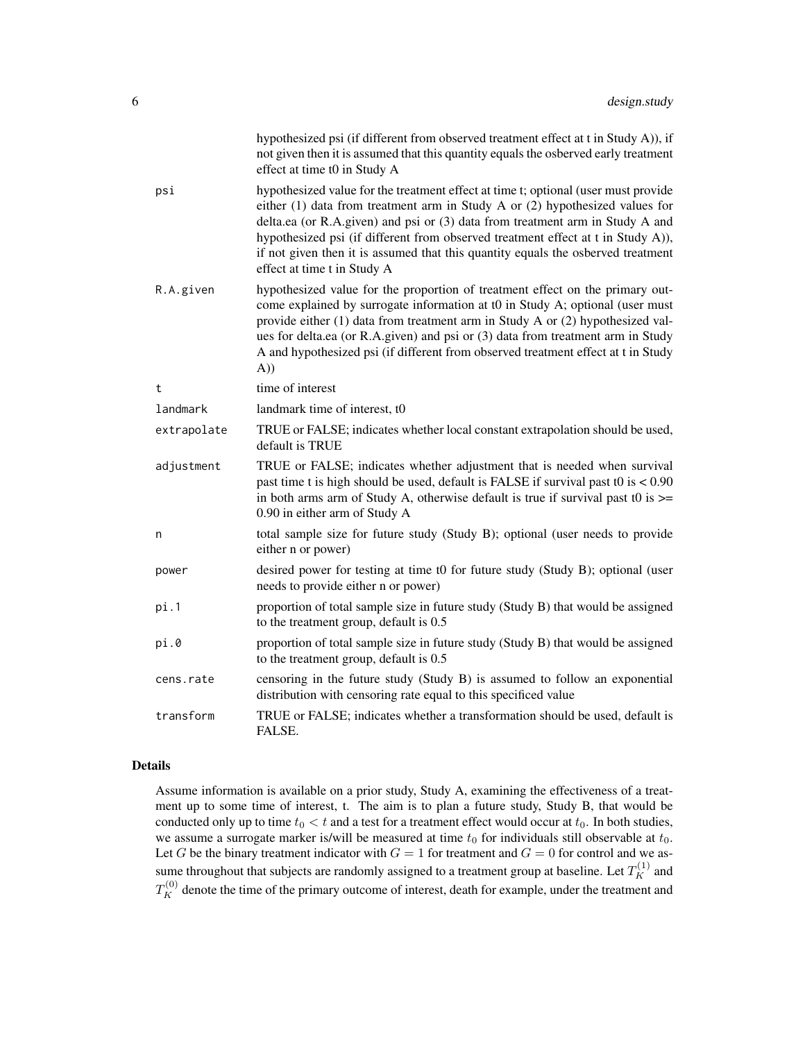|             | hypothesized psi (if different from observed treatment effect at t in Study A)), if<br>not given then it is assumed that this quantity equals the osberved early treatment<br>effect at time t0 in Study A                                                                                                                                                                                                                                                     |
|-------------|----------------------------------------------------------------------------------------------------------------------------------------------------------------------------------------------------------------------------------------------------------------------------------------------------------------------------------------------------------------------------------------------------------------------------------------------------------------|
| psi         | hypothesized value for the treatment effect at time t; optional (user must provide<br>either $(1)$ data from treatment arm in Study A or $(2)$ hypothesized values for<br>delta.ea (or R.A.given) and psi or (3) data from treatment arm in Study A and<br>hypothesized psi (if different from observed treatment effect at t in Study A)),<br>if not given then it is assumed that this quantity equals the osberved treatment<br>effect at time t in Study A |
| R.A.given   | hypothesized value for the proportion of treatment effect on the primary out-<br>come explained by surrogate information at t0 in Study A; optional (user must<br>provide either (1) data from treatment arm in Study A or (2) hypothesized val-<br>ues for delta.ea (or R.A.given) and psi or (3) data from treatment arm in Study<br>A and hypothesized psi (if different from observed treatment effect at t in Study<br>A))                                |
| t           | time of interest                                                                                                                                                                                                                                                                                                                                                                                                                                               |
| landmark    | landmark time of interest, t0                                                                                                                                                                                                                                                                                                                                                                                                                                  |
| extrapolate | TRUE or FALSE; indicates whether local constant extrapolation should be used,<br>default is TRUE                                                                                                                                                                                                                                                                                                                                                               |
| adjustment  | TRUE or FALSE; indicates whether adjustment that is needed when survival<br>past time t is high should be used, default is FALSE if survival past t0 is < 0.90<br>in both arms arm of Study A, otherwise default is true if survival past t0 is $\ge$ =<br>0.90 in either arm of Study A                                                                                                                                                                       |
| n           | total sample size for future study (Study B); optional (user needs to provide<br>either n or power)                                                                                                                                                                                                                                                                                                                                                            |
| power       | desired power for testing at time t0 for future study (Study B); optional (user<br>needs to provide either n or power)                                                                                                                                                                                                                                                                                                                                         |
| pi.1        | proportion of total sample size in future study (Study B) that would be assigned<br>to the treatment group, default is 0.5                                                                                                                                                                                                                                                                                                                                     |
| pi.0        | proportion of total sample size in future study (Study B) that would be assigned<br>to the treatment group, default is 0.5                                                                                                                                                                                                                                                                                                                                     |
| cens.rate   | censoring in the future study (Study B) is assumed to follow an exponential<br>distribution with censoring rate equal to this specificed value                                                                                                                                                                                                                                                                                                                 |
| transform   | TRUE or FALSE; indicates whether a transformation should be used, default is<br>FALSE.                                                                                                                                                                                                                                                                                                                                                                         |

# Details

Assume information is available on a prior study, Study A, examining the effectiveness of a treatment up to some time of interest, t. The aim is to plan a future study, Study B, that would be conducted only up to time  $t_0 < t$  and a test for a treatment effect would occur at  $t_0$ . In both studies, we assume a surrogate marker is/will be measured at time  $t_0$  for individuals still observable at  $t_0$ . Let G be the binary treatment indicator with  $G = 1$  for treatment and  $G = 0$  for control and we assume throughout that subjects are randomly assigned to a treatment group at baseline. Let  $T_K^{(1)}$  and  $T_K^{(0)}$  denote the time of the primary outcome of interest, death for example, under the treatment and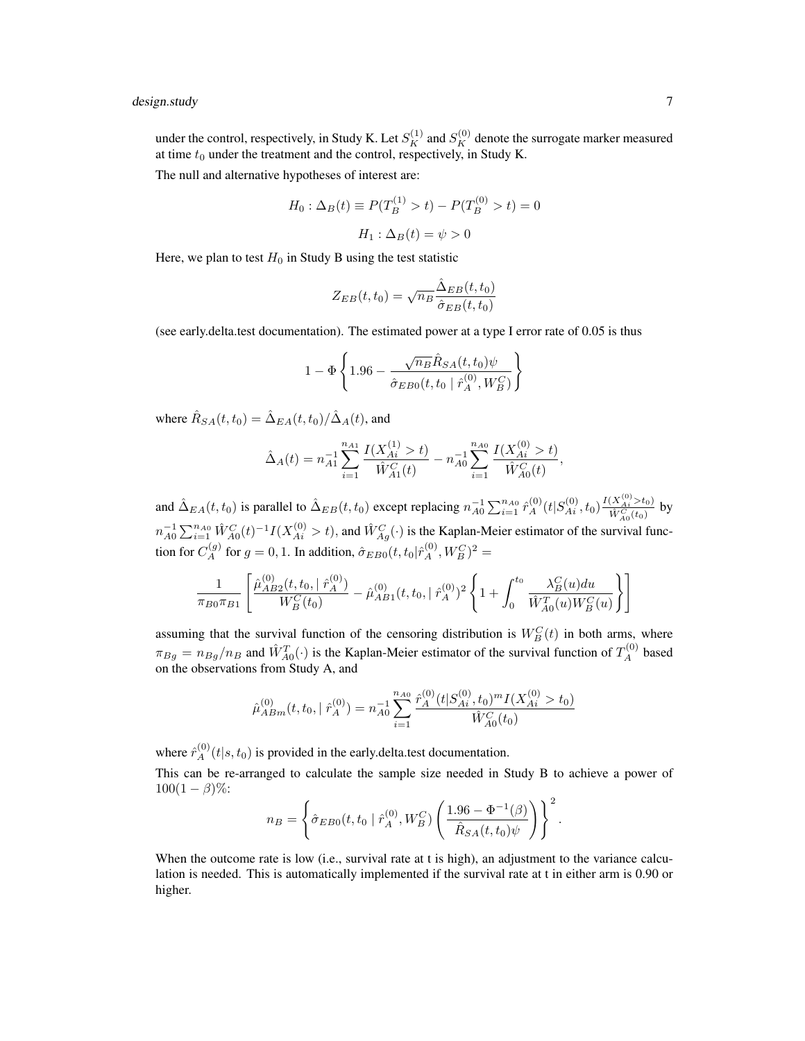# design.study 7

under the control, respectively, in Study K. Let  $S_K^{(1)}$  and  $S_K^{(0)}$  denote the surrogate marker measured at time  $t_0$  under the treatment and the control, respectively, in Study K.

The null and alternative hypotheses of interest are:

$$
H_0: \Delta_B(t) \equiv P(T_B^{(1)} > t) - P(T_B^{(0)} > t) = 0
$$

$$
H_1: \Delta_B(t) = \psi > 0
$$

Here, we plan to test  $H_0$  in Study B using the test statistic

$$
Z_{EB}(t, t_0) = \sqrt{n_B} \frac{\hat{\Delta}_{EB}(t, t_0)}{\hat{\sigma}_{EB}(t, t_0)}
$$

(see early.delta.test documentation). The estimated power at a type I error rate of 0.05 is thus

$$
1-\Phi\left\{1.96-\frac{\sqrt{n_B}\hat{R}_{SA}(t,t_0)\psi}{\hat{\sigma}_{EB0}(t,t_0\mid\hat{r}^{(0)}_A,W^C_B)}\right\}
$$

where  $\hat{R}_{SA}(t,t_0) = \hat{\Delta}_{EA}(t,t_0)/\hat{\Delta}_{A}(t)$ , and

$$
\hat{\Delta}_A(t) = n_{A1}^{-1} \sum_{i=1}^{n_{A1}} \frac{I(X_{Ai}^{(1)} > t)}{\hat{W}_{A1}^C(t)} - n_{A0}^{-1} \sum_{i=1}^{n_{A0}} \frac{I(X_{Ai}^{(0)} > t)}{\hat{W}_{A0}^C(t)},
$$

and  $\hat{\Delta}_{EA}(t,t_0)$  is parallel to  $\hat{\Delta}_{EB}(t,t_0)$  except replacing  $n_{A0}^{-1} \sum_{i=1}^{n_{A0}} \hat{r}_A^{(0)}(t|S_{Ai}^{(0)}, t_0) \frac{I(X_{Ai}^{(0)} > t_0)}{\hat{W}_{A}^{C}(t_0)}$  $\frac{(\Lambda_{Ai} > t_0)}{\hat{W}_{A_0}^C(t_0)}$  by  $n_{A0}^{-1} \sum_{i=1}^{n_{A0}} \hat{W}_{A0}^{C}(t)^{-1} I(X_{Ai}^{(0)} > t)$ , and  $\hat{W}_{Ag}^{C}(t)$  is the Kaplan-Meier estimator of the survival function for  $C_A^{(g)}$  for  $g = 0, 1$ . In addition,  $\hat{\sigma}_{EBO}(t, t_0 | \hat{r}_A^{(0)}, W_B^C)^2 =$ 

$$
\frac{1}{\pi_{B0}\pi_{B1}} \left[ \frac{\hat{\mu}_{AB2}^{(0)}(t, t_0, \mid \hat{r}_A^{(0)})}{W_B^C(t_0)} - \hat{\mu}_{AB1}^{(0)}(t, t_0, \mid \hat{r}_A^{(0)})^2 \left\{ 1 + \int_0^{t_0} \frac{\lambda_B^C(u) du}{\hat{W}_{A0}^T(u) W_B^C(u)} \right\} \right]
$$

assuming that the survival function of the censoring distribution is  $W_B^C(t)$  in both arms, where  $\pi_{Bg} = n_{Bg}/n_B$  and  $\hat{W}_{A0}^T(\cdot)$  is the Kaplan-Meier estimator of the survival function of  $T_A^{(0)}$  based on the observations from Study A, and

$$
\hat{\mu}_{ABm}^{(0)}(t, t_0, |\hat{r}_A^{(0)}\rangle) = n_{A0}^{-1} \sum_{i=1}^{n_{A0}} \frac{\hat{r}_A^{(0)}(t | S_{Ai}^{(0)}, t_0)^m I(X_{Ai}^{(0)} > t_0)}{\hat{W}_{A0}^C(t_0)}
$$

where  $\hat{r}_A^{(0)}(t|s,t_0)$  is provided in the early.delta.test documentation.

This can be re-arranged to calculate the sample size needed in Study B to achieve a power of  $100(1 - \beta)\%$ :

$$
n_B = \left\{\hat{\sigma}_{EBO}(t, t_0 \mid \hat{r}_A^{(0)}, W_B^C) \left(\frac{1.96 - \Phi^{-1}(\beta)}{\hat{R}_{SA}(t, t_0)\psi}\right)\right\}^2.
$$

When the outcome rate is low (i.e., survival rate at t is high), an adjustment to the variance calculation is needed. This is automatically implemented if the survival rate at t in either arm is 0.90 or higher.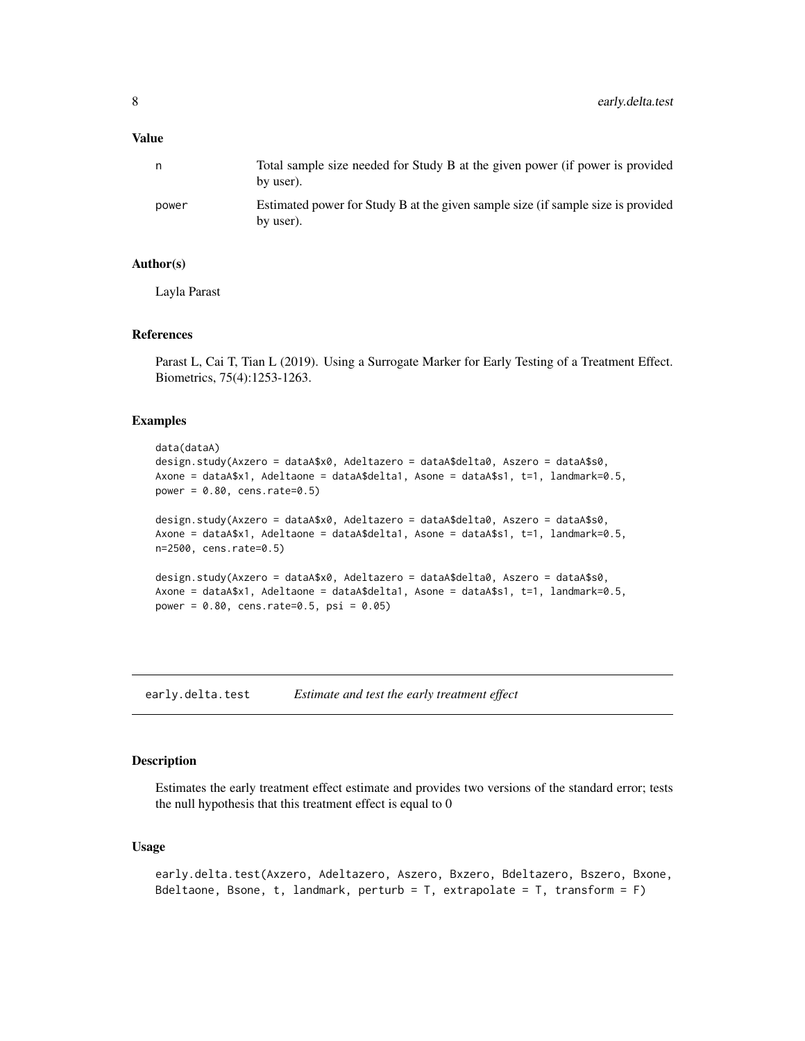# <span id="page-7-0"></span>Value

| n.    | Total sample size needed for Study B at the given power (if power is provided<br>by user).    |
|-------|-----------------------------------------------------------------------------------------------|
| power | Estimated power for Study B at the given sample size (if sample size is provided<br>by user). |

#### Author(s)

Layla Parast

# References

Parast L, Cai T, Tian L (2019). Using a Surrogate Marker for Early Testing of a Treatment Effect. Biometrics, 75(4):1253-1263.

# Examples

```
data(dataA)
design.study(Axzero = dataA$x0, Adeltazero = dataA$delta0, Aszero = dataA$s0,
Axone = dataA$x1, Adeltaone = dataA$delta1, Asone = dataA$s1, t=1, landmark=0.5,
power = 0.80, cens.rate=0.5)
design.study(Axzero = dataA$x0, Adeltazero = dataA$delta0, Aszero = dataA$s0,
Axone = dataA$x1, Adeltaone = dataA$delta1, Asone = dataA$s1, t=1, landmark=0.5,
n=2500, cens.rate=0.5)
design.study(Axzero = dataA$x0, Adeltazero = dataA$delta0, Aszero = dataA$s0,
Axone = dataA$x1, Adeltaone = dataA$delta1, Asone = dataA$s1, t=1, landmark=0.5,
power = 0.80, cens.rate=0.5, psi = 0.05)
```
early.delta.test *Estimate and test the early treatment effect*

# Description

Estimates the early treatment effect estimate and provides two versions of the standard error; tests the null hypothesis that this treatment effect is equal to 0

# Usage

```
early.delta.test(Axzero, Adeltazero, Aszero, Bxzero, Bdeltazero, Bszero, Bxone,
Bdeltaone, Bsone, t, landmark, perturb = T, extrapolate = T, transform = F)
```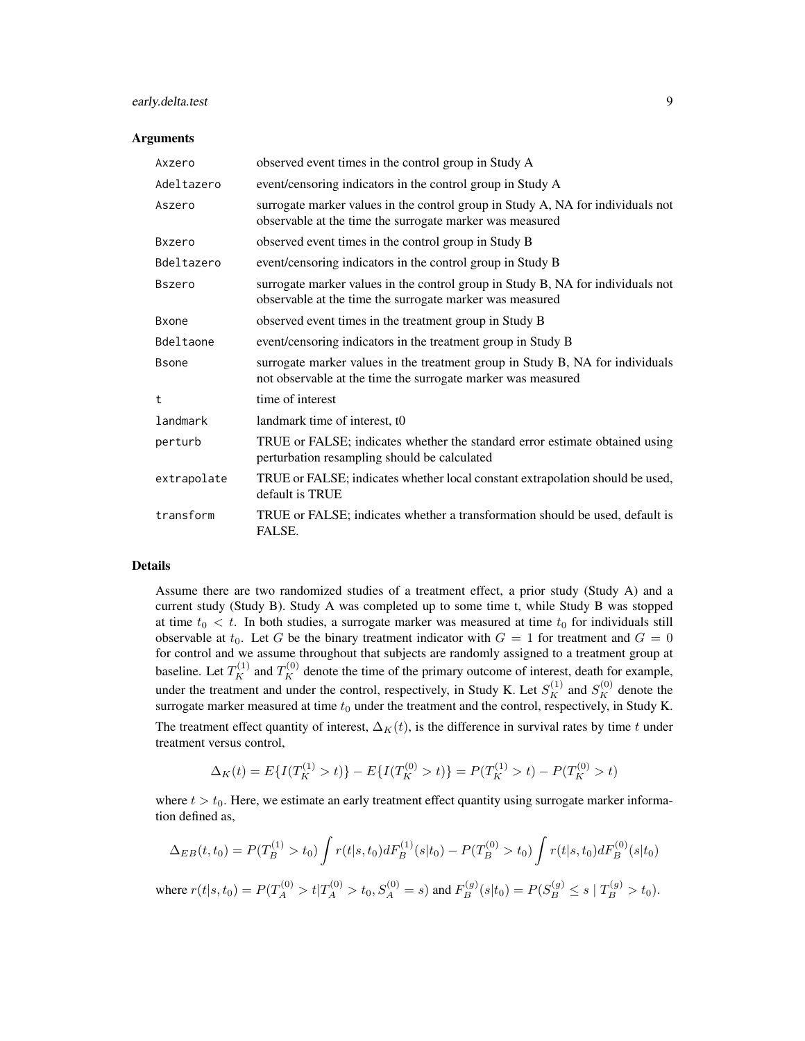# early.delta.test 9

#### **Arguments**

| Axzero        | observed event times in the control group in Study A                                                                                          |
|---------------|-----------------------------------------------------------------------------------------------------------------------------------------------|
| Adeltazero    | event/censoring indicators in the control group in Study A                                                                                    |
| Aszero        | surrogate marker values in the control group in Study A, NA for individuals not<br>observable at the time the surrogate marker was measured   |
| Bxzero        | observed event times in the control group in Study B                                                                                          |
| Bdeltazero    | event/censoring indicators in the control group in Study B                                                                                    |
| <b>Bszero</b> | surrogate marker values in the control group in Study B, NA for individuals not<br>observable at the time the surrogate marker was measured   |
| <b>B</b> xone | observed event times in the treatment group in Study B                                                                                        |
| Bdeltaone     | event/censoring indicators in the treatment group in Study B                                                                                  |
| <b>B</b> sone | surrogate marker values in the treatment group in Study B, NA for individuals<br>not observable at the time the surrogate marker was measured |
| $^{\dagger}$  | time of interest                                                                                                                              |
| landmark      | landmark time of interest, to                                                                                                                 |
| perturb       | TRUE or FALSE; indicates whether the standard error estimate obtained using<br>perturbation resampling should be calculated                   |
| extrapolate   | TRUE or FALSE; indicates whether local constant extrapolation should be used,<br>default is TRUE                                              |
| transform     | TRUE or FALSE; indicates whether a transformation should be used, default is<br>FALSE.                                                        |

## Details

Assume there are two randomized studies of a treatment effect, a prior study (Study A) and a current study (Study B). Study A was completed up to some time t, while Study B was stopped at time  $t_0 < t$ . In both studies, a surrogate marker was measured at time  $t_0$  for individuals still observable at  $t_0$ . Let G be the binary treatment indicator with  $G = 1$  for treatment and  $G = 0$ for control and we assume throughout that subjects are randomly assigned to a treatment group at baseline. Let  $T_K^{(1)}$  and  $T_K^{(0)}$  denote the time of the primary outcome of interest, death for example, under the treatment and under the control, respectively, in Study K. Let  $S_K^{(1)}$  and  $S_K^{(0)}$  denote the surrogate marker measured at time  $t_0$  under the treatment and the control, respectively, in Study K.

The treatment effect quantity of interest,  $\Delta_K(t)$ , is the difference in survival rates by time t under treatment versus control,

$$
\Delta_K(t) = E\{I(T_K^{(1)} > t)\} - E\{I(T_K^{(0)} > t)\} = P(T_K^{(1)} > t) - P(T_K^{(0)} > t)
$$

where  $t > t_0$ . Here, we estimate an early treatment effect quantity using surrogate marker information defined as,

$$
\Delta_{EB}(t, t_0) = P(T_B^{(1)} > t_0) \int r(t|s, t_0) dF_B^{(1)}(s|t_0) - P(T_B^{(0)} > t_0) \int r(t|s, t_0) dF_B^{(0)}(s|t_0)
$$
  
where  $r(t|s, t_0) = P(T_A^{(0)} > t|T_A^{(0)} > t_0, S_A^{(0)} = s)$  and  $F_B^{(g)}(s|t_0) = P(S_B^{(g)} \le s | T_B^{(g)} > t_0)$ .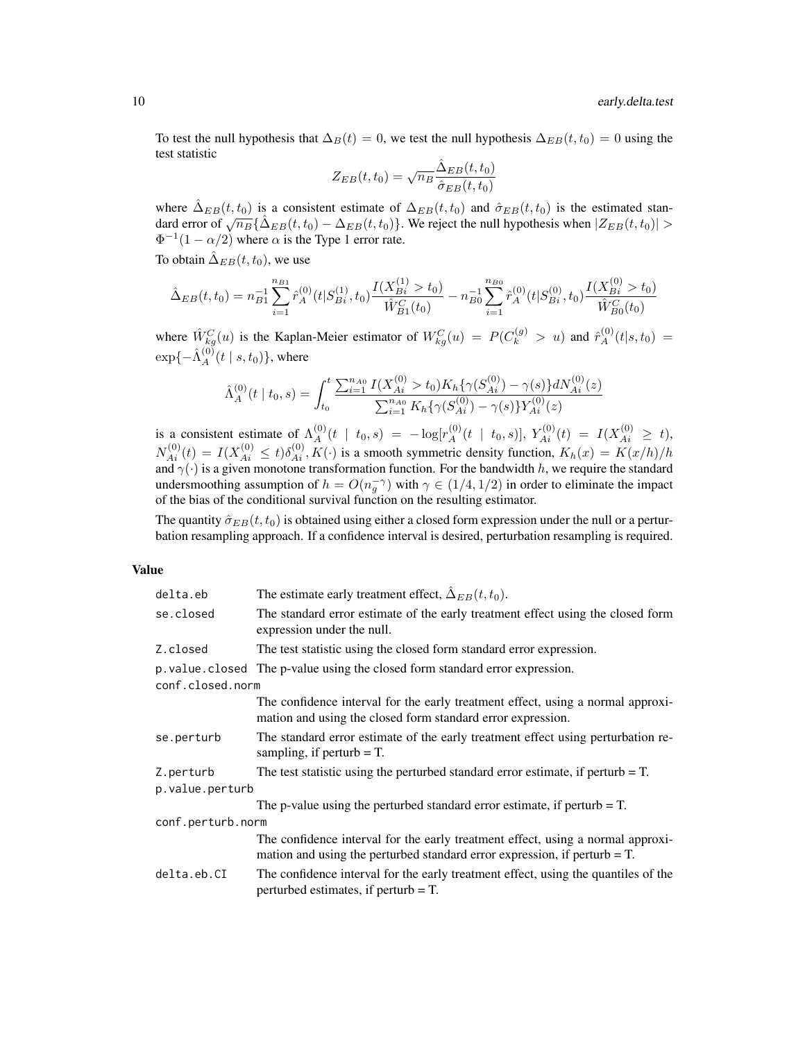To test the null hypothesis that  $\Delta_B(t) = 0$ , we test the null hypothesis  $\Delta_{EB}(t, t_0) = 0$  using the test statistic

$$
Z_{EB}(t, t_0) = \sqrt{n_B} \frac{\hat{\Delta}_{EB}(t, t_0)}{\hat{\sigma}_{EB}(t, t_0)}
$$

where  $\Delta_{EB}(t, t_0)$  is a consistent estimate of  $\Delta_{EB}(t, t_0)$  and  $\hat{\sigma}_{EB}(t, t_0)$  is the estimated standard error of  $\sqrt{n_B} \{\hat{\Delta}_{EB}(t,t_0) - \Delta_{EB}(t,t_0)\}$ . We reject the null hypothesis when  $|Z_{EB}(t,t_0)| >$  $\Phi^{-1}(1-\alpha/2)$  where  $\alpha$  is the Type 1 error rate.

To obtain  $\hat{\Delta}_{EB}(t, t_0)$ , we use

$$
\hat{\Delta}_{EB}(t,t_0) = n_{B1}^{-1} \sum_{i=1}^{n_{B1}} \hat{r}_A^{(0)}(t|S_{Bi}^{(1)}, t_0) \frac{I(X_{Bi}^{(1)} > t_0)}{\hat{W}_{B1}^{C}(t_0)} - n_{B0}^{-1} \sum_{i=1}^{n_{B0}} \hat{r}_A^{(0)}(t|S_{Bi}^{(0)}, t_0) \frac{I(X_{Bi}^{(0)} > t_0)}{\hat{W}_{B0}^{C}(t_0)}
$$

where  $\hat{W}_{kg}^C(u)$  is the Kaplan-Meier estimator of  $W_{kg}^C(u) = P(C_k^{(g)} > u)$  and  $\hat{r}_A^{(0)}(t|s,t_0) =$  $\exp{\{-\hat{\Lambda}_A^{(0)}(t\mid s,t_0)\}}$ , where

$$
\hat{\Lambda}_A^{(0)}(t \mid t_0, s) = \int_{t_0}^t \frac{\sum_{i=1}^{n_{A0}} I(X_{Ai}^{(0)} > t_0) K_h\{\gamma(S_{Ai}^{(0)}) - \gamma(s)\} dN_{Ai}^{(0)}(z)}{\sum_{i=1}^{n_{A0}} K_h\{\gamma(S_{Ai}^{(0)}) - \gamma(s)\} Y_{Ai}^{(0)}(z)}
$$

is a consistent estimate of  $\Lambda_A^{(0)}(t \mid t_0, s) = -\log[r_A^{(0)}(t \mid t_0, s)], Y_{Ai}^{(0)}(t) = I(X_{Ai}^{(0)} \ge t),$  $N_{Ai}^{(0)}(t) = I(X_{Ai}^{(0)} \le t)\delta_{Ai}^{(0)}, K(\cdot)$  is a smooth symmetric density function,  $K_h(x) = K(x/h)/h$ and  $\gamma(\cdot)$  is a given monotone transformation function. For the bandwidth h, we require the standard undersmoothing assumption of  $h = O(n_q^{-\gamma})$  with  $\gamma \in (1/4, 1/2)$  in order to eliminate the impact of the bias of the conditional survival function on the resulting estimator.

The quantity  $\hat{\sigma}_{EB}(t, t_0)$  is obtained using either a closed form expression under the null or a perturbation resampling approach. If a confidence interval is desired, perturbation resampling is required.

# Value

| delta.eb          | The estimate early treatment effect, $\hat{\Delta}_{EB}(t, t_0)$ .                                                                                              |
|-------------------|-----------------------------------------------------------------------------------------------------------------------------------------------------------------|
| se.closed         | The standard error estimate of the early treatment effect using the closed form<br>expression under the null.                                                   |
| Z.closed          | The test statistic using the closed form standard error expression.                                                                                             |
|                   | p. value. closed The p-value using the closed form standard error expression.                                                                                   |
| conf.closed.norm  |                                                                                                                                                                 |
|                   | The confidence interval for the early treatment effect, using a normal approxi-<br>mation and using the closed form standard error expression.                  |
| se.perturb        | The standard error estimate of the early treatment effect using perturbation re-<br>sampling, if perturb $=$ T.                                                 |
| Z.perturb         | The test statistic using the perturbed standard error estimate, if perturb $=$ T.                                                                               |
| p.value.perturb   |                                                                                                                                                                 |
|                   | The p-value using the perturbed standard error estimate, if perturb $=$ T.                                                                                      |
| conf.perturb.norm |                                                                                                                                                                 |
|                   | The confidence interval for the early treatment effect, using a normal approxi-<br>mation and using the perturbed standard error expression, if perturb $= T$ . |
| delta.eb.CI       | The confidence interval for the early treatment effect, using the quantiles of the<br>perturbed estimates, if perturb $=$ T.                                    |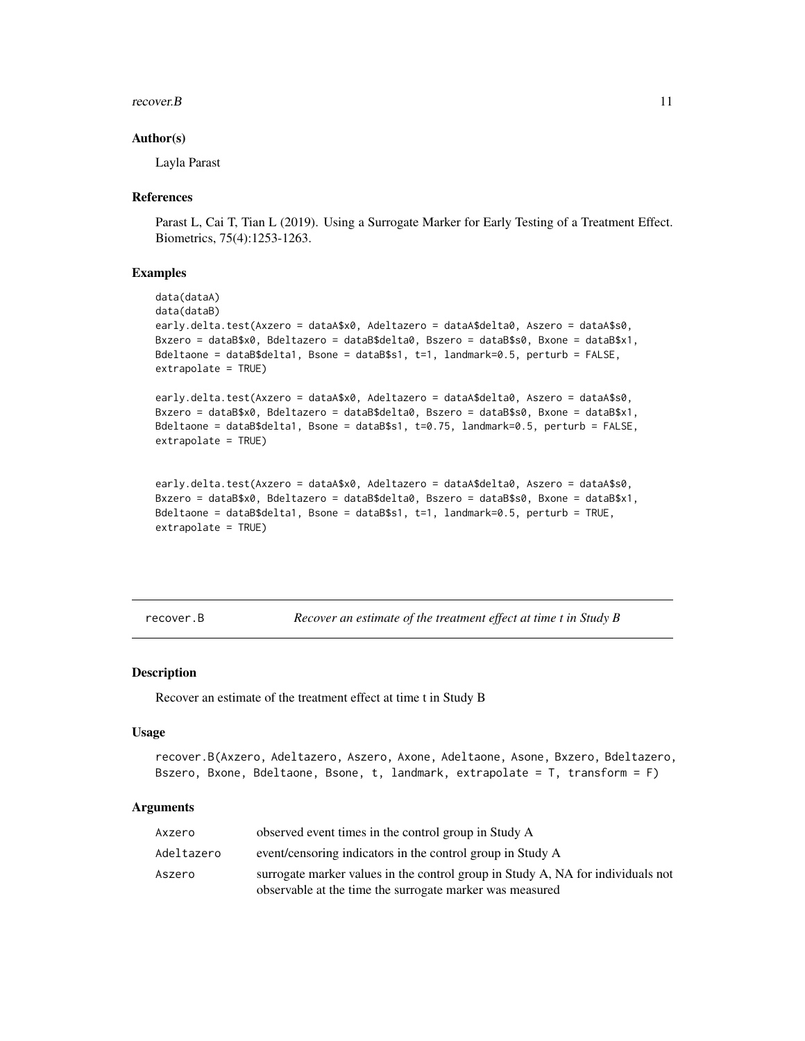#### <span id="page-10-0"></span>recover. $B$  11

### Author(s)

Layla Parast

#### References

Parast L, Cai T, Tian L (2019). Using a Surrogate Marker for Early Testing of a Treatment Effect. Biometrics, 75(4):1253-1263.

## Examples

```
data(dataA)
data(dataB)
early.delta.test(Axzero = dataA$x0, Adeltazero = dataA$delta0, Aszero = dataA$s0,
Bxzero = dataB$x0, Bdeltazero = dataB$delta0, Bszero = dataB$s0, Bxone = dataB$x1,
Bdeltaone = dataB$delta1, Bsone = dataB$s1, t=1, landmark=0.5, perturb = FALSE,
extrapolate = TRUE)
```
early.delta.test(Axzero = dataA\$x0, Adeltazero = dataA\$delta0, Aszero = dataA\$s0, Bxzero = dataB\$x0, Bdeltazero = dataB\$delta0, Bszero = dataB\$s0, Bxone = dataB\$x1, Bdeltaone = dataB\$delta1, Bsone = dataB\$s1, t=0.75, landmark=0.5, perturb = FALSE, extrapolate = TRUE)

```
early.delta.test(Axzero = dataA$x0, Adeltazero = dataA$delta0, Aszero = dataA$s0,
Bxzero = dataB$x0, Bdeltazero = dataB$delta0, Bszero = dataB$s0, Bxone = dataB$x1,
Bdeltaone = dataB$delta1, Bsone = dataB$s1, t=1, landmark=0.5, perturb = TRUE,
extrapolate = TRUE)
```
recover.B *Recover an estimate of the treatment effect at time t in Study B*

#### Description

Recover an estimate of the treatment effect at time t in Study B

# Usage

```
recover.B(Axzero, Adeltazero, Aszero, Axone, Adeltaone, Asone, Bxzero, Bdeltazero,
Bszero, Bxone, Bdeltaone, Bsone, t, landmark, extrapolate = T, transform = F)
```
# Arguments

| Axzero     | observed event times in the control group in Study A                            |
|------------|---------------------------------------------------------------------------------|
| Adeltazero | event/censoring indicators in the control group in Study A                      |
| Aszero     | surrogate marker values in the control group in Study A, NA for individuals not |
|            | observable at the time the surrogate marker was measured                        |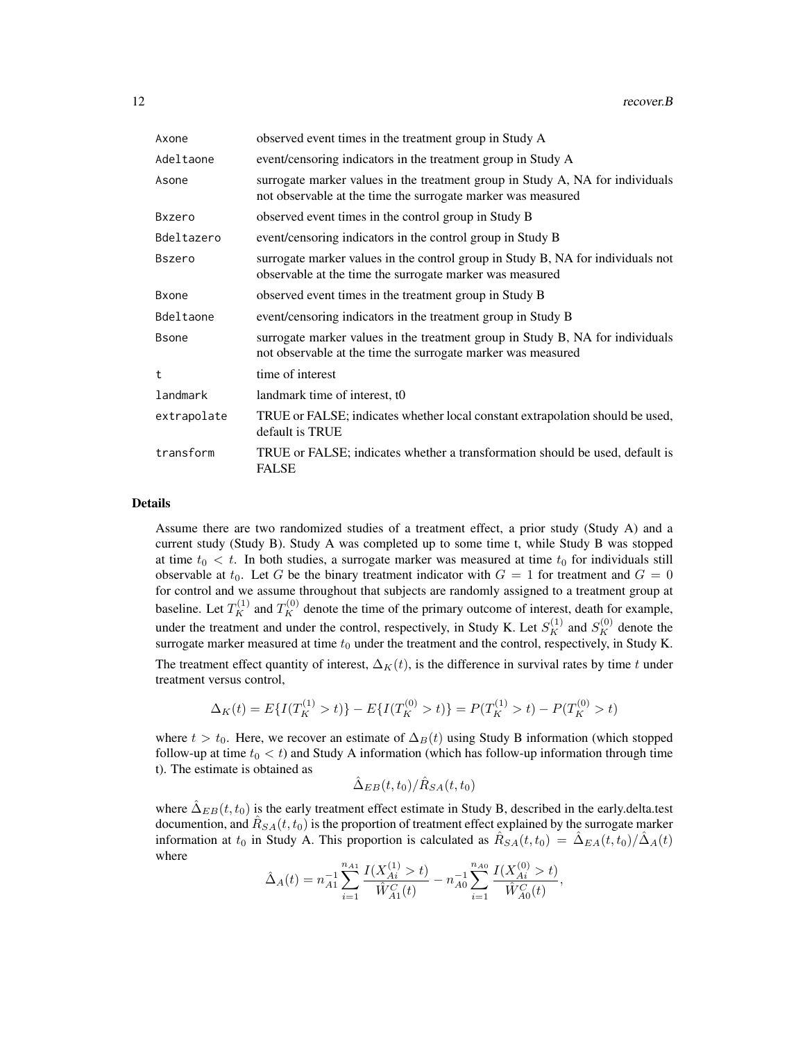| Axone         | observed event times in the treatment group in Study A                                                                                        |
|---------------|-----------------------------------------------------------------------------------------------------------------------------------------------|
| Adeltaone     | event/censoring indicators in the treatment group in Study A                                                                                  |
| Asone         | surrogate marker values in the treatment group in Study A, NA for individuals<br>not observable at the time the surrogate marker was measured |
| Bxzero        | observed event times in the control group in Study B                                                                                          |
| Bdeltazero    | event/censoring indicators in the control group in Study B                                                                                    |
| <b>Bszero</b> | surrogate marker values in the control group in Study B, NA for individuals not<br>observable at the time the surrogate marker was measured   |
| <b>B</b> xone | observed event times in the treatment group in Study B                                                                                        |
| Bdeltaone     | event/censoring indicators in the treatment group in Study B                                                                                  |
| <b>B</b> sone | surrogate marker values in the treatment group in Study B, NA for individuals<br>not observable at the time the surrogate marker was measured |
| $^{\dagger}$  | time of interest                                                                                                                              |
| landmark      | landmark time of interest, to                                                                                                                 |
| extrapolate   | TRUE or FALSE; indicates whether local constant extrapolation should be used,<br>default is TRUE                                              |
| transform     | TRUE or FALSE; indicates whether a transformation should be used, default is<br><b>FALSE</b>                                                  |

#### Details

Assume there are two randomized studies of a treatment effect, a prior study (Study A) and a current study (Study B). Study A was completed up to some time t, while Study B was stopped at time  $t_0 < t$ . In both studies, a surrogate marker was measured at time  $t_0$  for individuals still observable at  $t_0$ . Let G be the binary treatment indicator with  $G = 1$  for treatment and  $G = 0$ for control and we assume throughout that subjects are randomly assigned to a treatment group at baseline. Let  $T_K^{(1)}$  and  $T_K^{(0)}$  denote the time of the primary outcome of interest, death for example, under the treatment and under the control, respectively, in Study K. Let  $S_K^{(1)}$  and  $S_K^{(0)}$  denote the surrogate marker measured at time  $t_0$  under the treatment and the control, respectively, in Study K. The treatment effect quantity of interest,  $\Delta_K(t)$ , is the difference in survival rates by time t under treatment versus control,

$$
\Delta_K(t) = E\{I(T_K^{(1)} > t)\} - E\{I(T_K^{(0)} > t)\} = P(T_K^{(1)} > t) - P(T_K^{(0)} > t)
$$

where  $t > t_0$ . Here, we recover an estimate of  $\Delta_B(t)$  using Study B information (which stopped follow-up at time  $t_0 < t$ ) and Study A information (which has follow-up information through time t). The estimate is obtained as

$$
\hat{\Delta}_{EB}(t,t_0)/\hat{R}_{SA}(t,t_0)
$$

where  $\Delta_{EB}(t, t_0)$  is the early treatment effect estimate in Study B, described in the early.delta.test documention, and  $\hat{R}_{SA}(t,t_0)$  is the proportion of treatment effect explained by the surrogate marker information at  $t_0$  in Study A. This proportion is calculated as  $\hat{R}_{SA}(t,t_0) = \hat{\Delta}_{EA}(t,t_0)/\hat{\Delta}_{A}(t)$ where

$$
\hat{\Delta}_A(t) = n_{A1}^{-1} \sum_{i=1}^{n_{A1}} \frac{I(X_{Ai}^{(1)} > t)}{\hat{W}_{A1}^C(t)} - n_{A0}^{-1} \sum_{i=1}^{n_{A0}} \frac{I(X_{Ai}^{(0)} > t)}{\hat{W}_{A0}^C(t)},
$$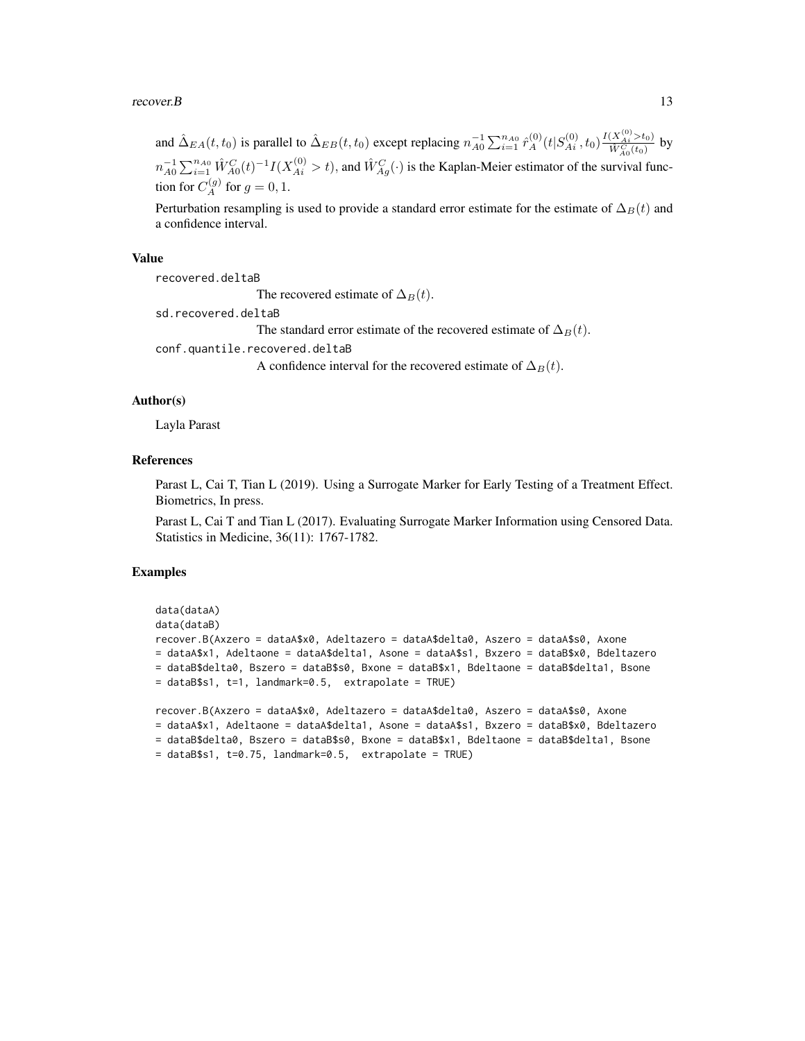#### recover. B  $13$

and  $\hat{\Delta}_{EA}(t,t_0)$  is parallel to  $\hat{\Delta}_{EB}(t,t_0)$  except replacing  $n_{A0}^{-1} \sum_{i=1}^{n_{A0}} \hat{r}_A^{(0)}(t|S_{Ai}^{(0)}, t_0) \frac{I(X_{Ai}^{(0)} > t_0)}{\hat{W}_{A}^{C}(t_0)}$  $\frac{(\Lambda_{Ai} > t_0)}{\hat{W}_{A_0}^C(t_0)}$  by  $n_{A0}^{-1} \sum_{i=1}^{n_{A0}} \hat{W}_{A0}^{C}(t)^{-1} I(X_{Ai}^{(0)} > t)$ , and  $\hat{W}_{Ag}^{C}(t)$  is the Kaplan-Meier estimator of the survival function for  $C_A^{(g)}$  for  $g = 0, 1$ .

Perturbation resampling is used to provide a standard error estimate for the estimate of  $\Delta_B(t)$  and a confidence interval.

#### Value

recovered.deltaB

The recovered estimate of  $\Delta_B(t)$ .

sd.recovered.deltaB

The standard error estimate of the recovered estimate of  $\Delta_B(t)$ .

conf.quantile.recovered.deltaB

A confidence interval for the recovered estimate of  $\Delta_B(t)$ .

### Author(s)

Layla Parast

#### References

Parast L, Cai T, Tian L (2019). Using a Surrogate Marker for Early Testing of a Treatment Effect. Biometrics, In press.

Parast L, Cai T and Tian L (2017). Evaluating Surrogate Marker Information using Censored Data. Statistics in Medicine, 36(11): 1767-1782.

# Examples

```
data(dataA)
data(dataB)
recover.B(Axzero = dataA$x0, Adeltazero = dataA$delta0, Aszero = dataA$s0, Axone
= dataA$x1, Adeltaone = dataA$delta1, Asone = dataA$s1, Bxzero = dataB$x0, Bdeltazero
= dataB$delta0, Bszero = dataB$s0, Bxone = dataB$x1, Bdeltaone = dataB$delta1, Bsone
= dataB$s1, t=1, landmark=0.5, extrapolate = TRUE)
recover.B(Axzero = dataA$x0, Adeltazero = dataA$delta0, Aszero = dataA$s0, Axone
= dataA$x1, Adeltaone = dataA$delta1, Asone = dataA$s1, Bxzero = dataB$x0, Bdeltazero
= dataB$delta0, Bszero = dataB$s0, Bxone = dataB$x1, Bdeltaone = dataB$delta1, Bsone
```

```
= dataB$s1, t=0.75, landmark=0.5, extrapolate = TRUE)
```